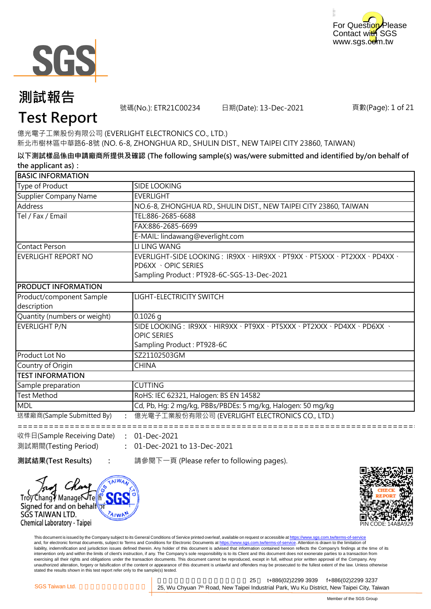



號碼(No.): ETR21C00234 日期(Date): 13-Dec-2021

頁數(Page): 1 of 21

### **Test Report**

億光電子工業股份有限公司 (EVERLIGHT ELECTRONICS CO., LTD.) 新北市樹林區中華路6-8號 (NO. 6-8, ZHONGHUA RD., SHULIN DIST., NEW TAIPEI CITY 23860, TAIWAN)

**以下測試樣品係由申請廠商所提供及確認 (The following sample(s) was/were submitted and identified by/on behalf of the applicant as):**

| <b>BASIC INFORMATION</b>     |                                                                                                   |
|------------------------------|---------------------------------------------------------------------------------------------------|
| Type of Product              | <b>SIDE LOOKING</b>                                                                               |
| Supplier Company Name        | <b>EVERLIGHT</b>                                                                                  |
| <b>Address</b>               | NO.6-8, ZHONGHUA RD., SHULIN DIST., NEW TAIPEI CITY 23860, TAIWAN                                 |
| Tel / Fax / Email            | TEL:886-2685-6688                                                                                 |
|                              | FAX:886-2685-6699                                                                                 |
|                              | E-MAIL: lindawang@everlight.com                                                                   |
| Contact Person               | LI LING WANG                                                                                      |
| EVERLIGHT REPORT NO          | EVERLIGHT-SIDE LOOKING: IR9XX · HIR9XX · PT9XX · PT5XXX · PT2XXX · PD4XX ·<br>PD6XX · OPIC SERIES |
|                              | Sampling Product: PT928-6C-SGS-13-Dec-2021                                                        |
| <b>PRODUCT INFORMATION</b>   |                                                                                                   |
| Product/component Sample     | LIGHT-ELECTRICITY SWITCH                                                                          |
| description                  |                                                                                                   |
| Quantity (numbers or weight) | $0.1026$ q                                                                                        |
| EVERLIGHT P/N                | SIDE LOOKING: IR9XX · HIR9XX · PT9XX · PT5XXX · PT2XXX · PD4XX · PD6XX ·                          |
|                              | <b>OPIC SERIES</b>                                                                                |
|                              | Sampling Product: PT928-6C                                                                        |
| Product Lot No               | SZ21102503GM                                                                                      |
| Country of Origin            | <b>CHINA</b>                                                                                      |
| <b>TEST INFORMATION</b>      |                                                                                                   |
| Sample preparation           | <b>CUTTING</b>                                                                                    |
| <b>Test Method</b>           | RoHS: IEC 62321, Halogen: BS EN 14582                                                             |
| <b>MDL</b>                   | Cd, Pb, Hg: 2 mg/kg, PBBs/PBDEs: 5 mg/kg, Halogen: 50 mg/kg                                       |
| 送樣廠商(Sample Submitted By)    | 億光電子工業股份有限公司 (EVERLIGHT ELECTRONICS CO., LTD.)                                                    |
|                              |                                                                                                   |

**:** 收件日(Sample Receiving Date) 01-Dec-2021 **:** 01-Dec-2021 to 13-Dec-2021 測試期間(Testing Period)

**AIWA** 

Troy Changy Manage√Telh Signed for and on behalfor

SGS TAIWAN LTD.

Chemical Laboratory - Taipei

**測試結果(Test Results) :** 請參閱下一頁 (Please refer to following pages).



This document is issued by the Company subject to its General Conditions of Service printed overleaf, available on request or accessible at https://www.sgs.com.tw/terms-of-service and, for electronic format documents, subject to Terms and Conditions for Electronic Documents at https://www.sgs.com.tw/terms-of-service. Attention is drawn to the limitation of liability, indemnification and jurisdiction issues defined therein. Any holder of this document is advised that information contained hereon reflects the Company's findings at the time of its intervention only and within the limits of client's instruction, if any. The Company's sole responsibility is to its Client and this document does not exonerate parties to a transaction from exercising all their rights and obligations under the transaction documents. This document cannot be reproduced, except in full, without prior written approval of the Company. Any<br>unauthorized alteration, forgery or falsif stated the results shown in this test report refer only to the sample(s) tested.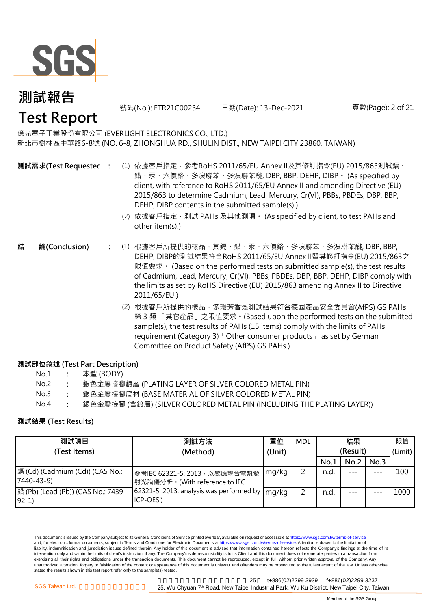

號碼(No.): ETR21C00234 日期(Date): 13-Dec-2021 頁數(Page): 2 of 21

#### 億光電子工業股份有限公司 (EVERLIGHT ELECTRONICS CO., LTD.)

新北市樹林區中華路6-8號 (NO. 6-8, ZHONGHUA RD., SHULIN DIST., NEW TAIPEI CITY 23860, TAIWAN)

- **測試需求(Test Requested)**
	- **:** (1) 依據客戶指定,參考RoHS 2011/65/EU Annex II及其修訂指令(EU) 2015/863測試鎘、 鉛、汞、六價鉻、多溴聯苯、多溴聯苯醚, DBP, BBP, DEHP, DIBP。 (As specified by client, with reference to RoHS 2011/65/EU Annex II and amending Directive (EU) 2015/863 to determine Cadmium, Lead, Mercury, Cr(VI), PBBs, PBDEs, DBP, BBP, DEHP, DIBP contents in the submitted sample(s).)
		- (2) 依據客戶指定,測試 PAHs 及其他測項。 (As specified by client, to test PAHs and other item(s).)
- **:** (1) 根據客戶所提供的樣品,其鎘、鉛、汞、六價鉻、多溴聯苯、多溴聯苯醚, DBP, BBP, **結 論(Conclusion)** DEHP, DIBP的測試結果符合RoHS 2011/65/EU Annex II暨其修訂指令(EU) 2015/863之 限值要求。 (Based on the performed tests on submitted sample(s), the test results of Cadmium, Lead, Mercury, Cr(VI), PBBs, PBDEs, DBP, BBP, DEHP, DIBP comply with the limits as set by RoHS Directive (EU) 2015/863 amending Annex II to Directive 2011/65/EU.)
	- (2) 根據客戶所提供的樣品,多環芳香烴測試結果符合德國產品安全委員會(AfPS) GS PAHs 第 3 類 「其它產品」之限值要求。(Based upon the performed tests on the submitted sample(s), the test results of PAHs (15 items) comply with the limits of PAHs requirement (Category 3)「Other consumer products」 as set by German Committee on Product Safety (AfPS) GS PAHs.)

#### **測試部位敘述 (Test Part Description)**

- No.1 **:** 本體 (BODY)
- No.2 **:** 銀色金屬接腳鍍層 (PLATING LAYER OF SILVER COLORED METAL PIN)
- No.3 **:** 銀色金屬接腳底材 (BASE MATERIAL OF SILVER COLORED METAL PIN)
- No.4 **:** 銀色金屬接腳 (含鍍層) (SILVER COLORED METAL PIN (INCLUDING THE PLATING LAYER))

#### **測試結果 (Test Results)**

| 測試項目                                          | 測試方法                                                                            | 單位     | <b>MDL</b> |          | 結果   |      | 限值      |
|-----------------------------------------------|---------------------------------------------------------------------------------|--------|------------|----------|------|------|---------|
| (Test Items)                                  | (Method)                                                                        | (Unit) |            | (Result) |      |      | (Limit) |
|                                               |                                                                                 |        |            | No.1     | No.2 | No.3 |         |
| 鎘 (Cd) (Cadmium (Cd)) (CAS No.:<br>7440-43-9) | 參考IEC 62321-5: 2013, 以感應耦合電漿發<br> 射光譜儀分析。(With reference to IEC                 | mg/kg  |            | n.d.     |      | ---  | 100     |
| [鉛 (Pb) (Lead (Pb)) (CAS No.: 7439-<br>$92-1$ | 62321-5: 2013, analysis was performed by $\lfloor$ mg/kg $\rfloor$<br>ICP-OES.) |        |            | n.d.     |      |      | 1000    |

This document is issued by the Company subject to its General Conditions of Service printed overleaf, available on request or accessible at https://www.sgs.com.tw/terms-of-service and, for electronic format documents, subject to Terms and Conditions for Electronic Documents at https://www.sgs.com.tw/terms-of-service. Attention is drawn to the limitation of liability, indemnification and jurisdiction issues defined therein. Any holder of this document is advised that information contained hereon reflects the Company's findings at the time of its intervention only and within the limits of client's instruction, if any. The Company's sole responsibility is to its Client and this document does not exonerate parties to a transaction from exercising all their rights and obligations under the transaction documents. This document cannot be reproduced, except in full, without prior written approval of the Company. Any unauthorized alteration, forgery or falsification of the content or appearance of this document is unlawful and offenders may be prosecuted to the fullest extent of the law. Unless otherwise stated the results shown in this test report refer only to the sample(s) tested.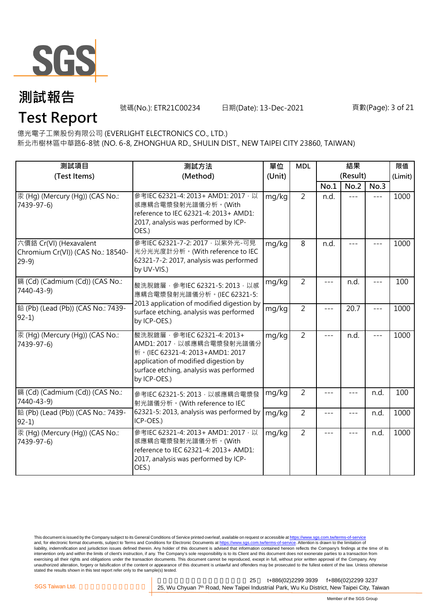

號碼(No.): ETR21C00234 日期(Date): 13-Dec-2021 頁數(Page): 3 of 21

**Test Report**

億光電子工業股份有限公司 (EVERLIGHT ELECTRONICS CO., LTD.)

新北市樹林區中華路6-8號 (NO. 6-8, ZHONGHUA RD., SHULIN DIST., NEW TAIPEI CITY 23860, TAIWAN)

| 測試項目<br>(Test Items)                                                  | 測試方法<br>(Method)                                                                                                                                                                                | 單位<br>(Unit) | <b>MDL</b>     |         | 結果<br>(Result) |                     | 限值<br>(Limit) |
|-----------------------------------------------------------------------|-------------------------------------------------------------------------------------------------------------------------------------------------------------------------------------------------|--------------|----------------|---------|----------------|---------------------|---------------|
|                                                                       |                                                                                                                                                                                                 |              |                | No.1    | No.2           | No.3                |               |
| 汞 (Hg) (Mercury (Hg)) (CAS No.:<br>7439-97-6)                         | 參考IEC 62321-4: 2013+ AMD1: 2017 · 以<br>感應耦合電漿發射光譜儀分析。(With<br>reference to IEC 62321-4: 2013+ AMD1:<br>2017, analysis was performed by ICP-<br>OES.)                                            | mg/kg        | $\overline{2}$ | n.d.    | $- - -$        | $- - -$             | 1000          |
| 六價鉻 Cr(VI) (Hexavalent<br>Chromium Cr(VI)) (CAS No.: 18540-<br>$29-9$ | 參考IEC 62321-7-2: 2017 · 以紫外光-可見<br>光分光光度計分析。(With reference to IEC<br>62321-7-2: 2017, analysis was performed<br>by UV-VIS.)                                                                    | mg/kg        | 8              | n.d.    |                |                     | 1000          |
| [編 (Cd) (Cadmium (Cd)) (CAS No.:<br>7440-43-9)                        | 酸洗脫鍍層, 參考IEC 62321-5: 2013, 以感<br>應耦合電漿發射光譜儀分析。(IEC 62321-5:<br>2013 application of modified digestion by                                                                                       | mg/kg        | $\overline{2}$ | ---     | n.d.           | $---$               | 100           |
| 鉛 (Pb) (Lead (Pb)) (CAS No.: 7439-<br>$92-1)$                         | surface etching, analysis was performed<br>by ICP-OES.)                                                                                                                                         | mg/kg        | $\overline{2}$ | $- - -$ | 20.7           | $\qquad \qquad - -$ | 1000          |
| 汞 (Hg) (Mercury (Hg)) (CAS No.:<br>7439-97-6)                         | 酸洗脫鍍層, 參考IEC 62321-4: 2013+<br>AMD1: 2017 · 以感應耦合電漿發射光譜儀分<br>析。(IEC 62321-4: 2013+AMD1: 2017<br>application of modified digestion by<br>surface etching, analysis was performed<br>by ICP-OES.) | mg/kg        | $\overline{2}$ |         | n.d.           | $---$               | 1000          |
| [鎘 (Cd) (Cadmium (Cd)) (CAS No.:<br>7440-43-9)                        | 參考IEC 62321-5: 2013, 以感應耦合電漿發<br>射光譜儀分析。(With reference to IEC                                                                                                                                  | mg/kg        | $\overline{2}$ |         |                | n.d.                | 100           |
| 鉛 (Pb) (Lead (Pb)) (CAS No.: 7439-<br>$92-1)$                         | 62321-5: 2013, analysis was performed by<br>ICP-OES.)                                                                                                                                           | mg/kg        | $\overline{2}$ |         |                | n.d.                | 1000          |
| 汞 (Hg) (Mercury (Hg)) (CAS No.:<br>7439-97-6)                         | 參考IEC 62321-4: 2013+ AMD1: 2017 · 以<br>感應耦合電漿發射光譜儀分析。(With<br>reference to IEC 62321-4: 2013+ AMD1:<br>2017, analysis was performed by ICP-<br>OES.)                                            | mg/kg        | $\overline{2}$ | $- - -$ | $---$          | n.d.                | 1000          |

This document is issued by the Company subject to its General Conditions of Service printed overleaf, available on request or accessible at <u>https://www.sgs.com.tw/terms-of-service</u><br>and, for electronic format documents, su liability, indemnification and jurisdiction issues defined therein. Any holder of this document is advised that information contained hereon reflects the Company's findings at the time of its intervention only and within the limits of client's instruction, if any. The Company's sole responsibility is to its Client and this document does not exonerate parties to a transaction from exercising all their rights and obligations under the transaction documents. This document cannot be reproduced, except in full, without prior written approval of the Company. Any<br>unauthorized alteration, forgery or falsif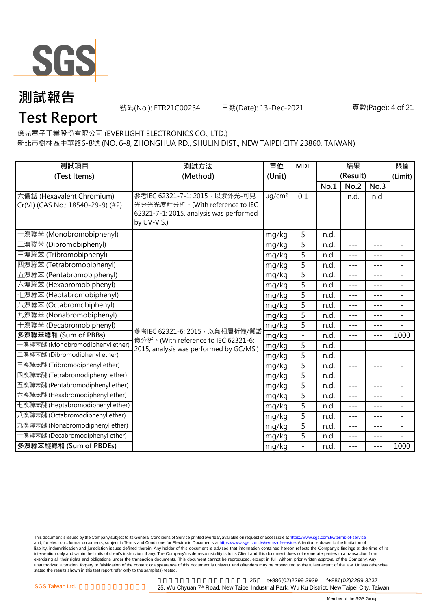

號碼(No.): ETR21C00234 日期(Date): 13-Dec-2021 頁數(Page): 4 of 21

### **Test Report**

億光電子工業股份有限公司 (EVERLIGHT ELECTRONICS CO., LTD.)

新北市樹林區中華路6-8號 (NO. 6-8, ZHONGHUA RD., SHULIN DIST., NEW TAIPEI CITY 23860, TAIWAN)

| 測試項目<br>(Test Items)                                           | 測試方法<br>(Method)                                                                                                             | 單位<br>(Unit)            | <b>MDL</b>               | 結果<br>(Result) |         | 限值<br>(Limit) |                          |
|----------------------------------------------------------------|------------------------------------------------------------------------------------------------------------------------------|-------------------------|--------------------------|----------------|---------|---------------|--------------------------|
|                                                                |                                                                                                                              |                         |                          | No.1           | No.2    | No.3          |                          |
| 六價鉻 (Hexavalent Chromium)<br>Cr(VI) (CAS No.: 18540-29-9) (#2) | 參考IEC 62321-7-1: 2015 · 以紫外光-可見<br>光分光光度計分析。(With reference to IEC<br>62321-7-1: 2015, analysis was performed<br>by UV-VIS.) | $\mu$ g/cm <sup>2</sup> | 0.1                      | $- - -$        | n.d.    | n.d.          |                          |
| ·溴聯苯 (Monobromobiphenyl)                                       |                                                                                                                              | mg/kg                   | 5                        | n.d.           | $---$   | $---$         | $\equiv$                 |
| 二溴聯苯 (Dibromobiphenyl)                                         |                                                                                                                              | mg/kg                   | 5                        | n.d.           | ---     | $---$         | $\overline{\phantom{a}}$ |
| 三溴聯苯 (Tribromobiphenyl)                                        |                                                                                                                              | mg/kg                   | 5                        | n.d.           | $---$   | $---$         | $\blacksquare$           |
| 四溴聯苯 (Tetrabromobiphenyl)                                      |                                                                                                                              | mg/kg                   | 5                        | n.d.           | $---$   | $---$         | $\blacksquare$           |
| 五溴聯苯 (Pentabromobiphenyl)                                      |                                                                                                                              | mg/kg                   | 5                        | n.d.           | ---     | $---$         | $\overline{\phantom{a}}$ |
| 六溴聯苯 (Hexabromobiphenyl)                                       |                                                                                                                              | mg/kg                   | 5                        | n.d.           | $---$   | $- - -$       | $\overline{\phantom{a}}$ |
| 七溴聯苯 (Heptabromobiphenyl)                                      |                                                                                                                              | mg/kg                   | $\overline{5}$           | n.d.           | $---$   | $---$         | $\overline{\phantom{a}}$ |
| 八溴聯苯 (Octabromobiphenyl)                                       |                                                                                                                              | mg/kg                   | 5                        | n.d.           | $- - -$ | $---$         | $\blacksquare$           |
| 九溴聯苯 (Nonabromobiphenyl)                                       |                                                                                                                              | mg/kg                   | 5                        | n.d.           | ---     | $---$         | $\overline{\phantom{a}}$ |
| 十溴聯苯 (Decabromobiphenyl)                                       |                                                                                                                              | mg/kg                   | 5                        | n.d.           | $- - -$ | $---$         | $\overline{\phantom{0}}$ |
| 多溴聯苯總和 (Sum of PBBs)                                           | 參考IEC 62321-6: 2015, 以氣相層析儀/質譜<br>儀分析。(With reference to IEC 62321-6:                                                        | mg/kg                   |                          | n.d.           | $---$   | $- - -$       | 1000                     |
| -溴聯苯醚 (Monobromodiphenyl ether)                                | 2015, analysis was performed by GC/MS.)                                                                                      | mg/kg                   | 5                        | n.d.           | ---     | $---$         | $\overline{\phantom{a}}$ |
| 二溴聯苯醚 (Dibromodiphenyl ether)                                  |                                                                                                                              | mg/kg                   | 5                        | n.d.           | $---$   | $---$         | $\overline{\phantom{a}}$ |
| 三溴聯苯醚 (Tribromodiphenyl ether)                                 |                                                                                                                              | mg/kg                   | 5                        | n.d.           | $- - -$ | $---$         | $\blacksquare$           |
| 四溴聯苯醚 (Tetrabromodiphenyl ether)                               |                                                                                                                              | mg/kg                   | 5                        | n.d.           | $---$   | $- - -$       | $\overline{\phantom{a}}$ |
| 五溴聯苯醚 (Pentabromodiphenyl ether)                               |                                                                                                                              | mg/kg                   | 5                        | n.d.           | ---     | $---$         | $\overline{\phantom{a}}$ |
| 六溴聯苯醚 (Hexabromodiphenyl ether)                                |                                                                                                                              | mg/kg                   | 5                        | n.d.           | $---$   | $---$         | $\blacksquare$           |
| 七溴聯苯醚 (Heptabromodiphenyl ether)                               | mg/kg<br>mg/kg                                                                                                               |                         | 5                        | n.d.           | $---$   | $---$         | $\blacksquare$           |
| 八溴聯苯醚 (Octabromodiphenyl ether)                                |                                                                                                                              |                         | 5                        | n.d.           | $---$   | $- - -$       | $\blacksquare$           |
| 九溴聯苯醚 (Nonabromodiphenyl ether)                                |                                                                                                                              | mg/kg                   | 5                        | n.d.           | $- - -$ | $- - -$       | $\blacksquare$           |
| 十溴聯苯醚 (Decabromodiphenyl ether)                                |                                                                                                                              | mg/kg                   | 5                        | n.d.           | $---$   | $- - -$       |                          |
| 多溴聯苯醚總和 (Sum of PBDEs)                                         |                                                                                                                              | mg/kg                   | $\overline{\phantom{0}}$ | n.d.           | ---     | ---           | 1000                     |

This document is issued by the Company subject to its General Conditions of Service printed overleaf, available on request or accessible at <u>https://www.sgs.com.tw/terms-of-service</u><br>and, for electronic format documents, su liability, indemnification and jurisdiction issues defined therein. Any holder of this document is advised that information contained hereon reflects the Company's findings at the time of its intervention only and within the limits of client's instruction, if any. The Company's sole responsibility is to its Client and this document does not exonerate parties to a transaction from exercising all their rights and obligations under the transaction documents. This document cannot be reproduced, except in full, without prior written approval of the Company. Any<br>unauthorized alteration, forgery or falsif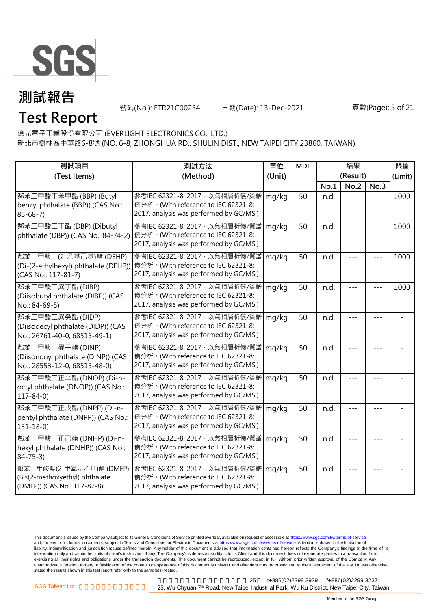

**Test Report**

號碼(No.): ETR21C00234 日期(Date): 13-Dec-2021 頁數(Page): 5 of 21

億光電子工業股份有限公司 (EVERLIGHT ELECTRONICS CO., LTD.)

新北市樹林區中華路6-8號 (NO. 6-8, ZHONGHUA RD., SHULIN DIST., NEW TAIPEI CITY 23860, TAIWAN)

| 測試項目<br>(Test Items)                                                                     | 測試方法<br>(Method)                                                                                                                                       | 單位<br>(Unit) | <b>MDL</b> | 結果<br>(Result) |      | 限值<br>(Limit) |      |
|------------------------------------------------------------------------------------------|--------------------------------------------------------------------------------------------------------------------------------------------------------|--------------|------------|----------------|------|---------------|------|
|                                                                                          |                                                                                                                                                        |              |            | No.1           | No.2 | No.3          |      |
| 鄰苯二甲酸丁苯甲酯 (BBP) (Butyl<br>benzyl phthalate (BBP)) (CAS No.:<br>$85 - 68 - 7$             | 參考IEC 62321-8: 2017, 以氣相層析儀/質譜<br>儀分析。(With reference to IEC 62321-8:<br>2017, analysis was performed by GC/MS.)                                       | mg/kg        | 50         | n.d.           |      |               | 1000 |
| 鄰苯二甲酸二丁酯 (DBP) (Dibutyl<br>phthalate (DBP)) (CAS No.: 84-74-2)                           | 參考IEC 62321-8: 2017, 以氣相層析儀/質譜<br>儀分析。(With reference to IEC 62321-8:<br>2017, analysis was performed by GC/MS.)                                       | mg/kg        | 50         | n.d.           | ---  |               | 1000 |
| 鄰苯二甲酸二(2-乙基己基)酯 (DEHP)<br>(CAS No.: 117-81-7)                                            | 參考IEC 62321-8: 2017 · 以氣相層析儀/質譜<br>(Di-(2-ethylhexyl) phthalate (DEHP)) 儀分析。(With reference to IEC 62321-8:<br>2017, analysis was performed by GC/MS.) | mg/kg        | 50         | n.d.           |      |               | 1000 |
| 鄰苯二甲酸二異丁酯 (DIBP)<br>(Diisobutyl phthalate (DIBP)) (CAS<br>No.: 84-69-5)                  | 參考IEC 62321-8: 2017, 以氣相層析儀/質譜<br>儀分析。(With reference to IEC 62321-8:<br>2017, analysis was performed by GC/MS.)                                       | mg/kg        | 50         | n.d.           |      |               | 1000 |
| 鄰苯二甲酸二異癸酯 (DIDP)<br>(Diisodecyl phthalate (DIDP)) (CAS<br>No.: 26761-40-0, 68515-49-1)   | 參考IEC 62321-8: 2017, 以氣相層析儀/質譜<br>儀分析。(With reference to IEC 62321-8:<br>2017, analysis was performed by GC/MS.)                                       | mg/kg        | 50         | n.d.           | ---  | ---           |      |
| 鄰苯二甲酸二異壬酯 (DINP)<br>(Diisononyl phthalate (DINP)) (CAS<br>No.: 28553-12-0, 68515-48-0)   | 參考IEC 62321-8: 2017, 以氣相層析儀/質譜<br>儀分析。(With reference to IEC 62321-8:<br>2017, analysis was performed by GC/MS.)                                       | mg/kg        | 50         | n.d.           |      |               |      |
| 鄰苯二甲酸二正辛酯 (DNOP) (Di-n-<br>octyl phthalate (DNOP)) (CAS No.:<br>$117 - 84 - 0$           | 參考IEC 62321-8: 2017, 以氣相層析儀/質譜<br>儀分析。(With reference to IEC 62321-8:<br>2017, analysis was performed by GC/MS.)                                       | mg/kg        | 50         | n.d.           |      | $= -$         |      |
| 鄰苯二甲酸二正戊酯 (DNPP) (Di-n-<br>pentyl phthalate (DNPP)) (CAS No.:<br>$131 - 18 - 0$          | 參考IEC 62321-8: 2017, 以氣相層析儀/質譜<br>儀分析。(With reference to IEC 62321-8:<br>2017, analysis was performed by GC/MS.)                                       | mg/kg        | 50         | n.d.           |      |               |      |
| 鄰苯二甲酸二正己酯 (DNHP) (Di-n-<br>hexyl phthalate (DNHP)) (CAS No.:<br>$84 - 75 - 3$            | 參考IEC 62321-8: 2017, 以氣相層析儀/質譜<br>儀分析。(With reference to IEC 62321-8:<br>2017, analysis was performed by GC/MS.)                                       | mg/kg        | 50         | n.d.           |      |               |      |
| 鄰苯二甲酸雙(2-甲氧基乙基)酯 (DMEP)<br>(Bis(2-methoxyethyl) phthalate<br>(DMEP)) (CAS No.: 117-82-8) | 参考IEC 62321-8: 2017 · 以氣相層析儀/質譜<br>儀分析。(With reference to IEC 62321-8:<br>2017, analysis was performed by GC/MS.)                                      | mg/kg        | 50         | n.d.           |      |               |      |

This document is issued by the Company subject to its General Conditions of Service printed overleaf, available on request or accessible at <u>https://www.sgs.com.tw/terms-of-service</u><br>and, for electronic format documents, su liability, indemnification and jurisdiction issues defined therein. Any holder of this document is advised that information contained hereon reflects the Company's findings at the time of its intervention only and within the limits of client's instruction, if any. The Company's sole responsibility is to its Client and this document does not exonerate parties to a transaction from exercising all their rights and obligations under the transaction documents. This document cannot be reproduced, except in full, without prior written approval of the Company. Any<br>unauthorized alteration, forgery or falsif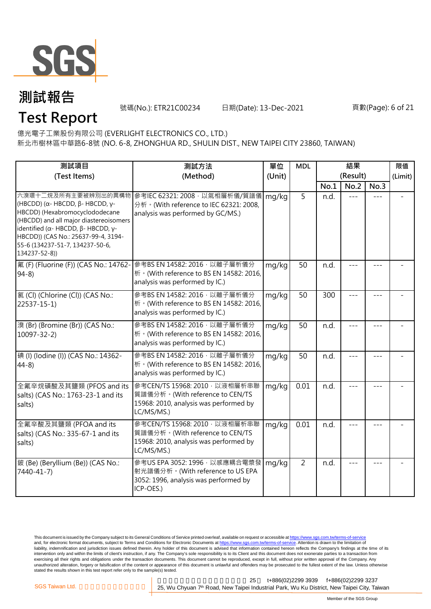

號碼(No.): ETR21C00234 日期(Date): 13-Dec-2021 頁數(Page): 6 of 21

### **Test Report**

億光電子工業股份有限公司 (EVERLIGHT ELECTRONICS CO., LTD.) 新北市樹林區中華路6-8號 (NO. 6-8, ZHONGHUA RD., SHULIN DIST., NEW TAIPEI CITY 23860, TAIWAN)

| 測試項目<br>測試方法                                                                                                                                                                                                                                                                        |                                                                                                                           | 單位     | <b>MDL</b>     |      | 結果               |      | 限值      |
|-------------------------------------------------------------------------------------------------------------------------------------------------------------------------------------------------------------------------------------------------------------------------------------|---------------------------------------------------------------------------------------------------------------------------|--------|----------------|------|------------------|------|---------|
| (Test Items)                                                                                                                                                                                                                                                                        | (Method)                                                                                                                  | (Unit) |                | No.1 | (Result)<br>No.2 | No.3 | (Limit) |
| 六溴環十二烷及所有主要被辨別出的異構物<br>(HBCDD) ( $\alpha$ - HBCDD, $\beta$ - HBCDD, γ-<br>HBCDD) (Hexabromocyclododecane<br>(HBCDD) and all major diastereoisomers<br>identified (α- HBCDD, β- HBCDD, γ-<br>HBCDD)) (CAS No.: 25637-99-4, 3194-<br>55-6 (134237-51-7, 134237-50-6,<br>134237-52-8)) | 參考IEC 62321: 2008, 以氣相層析儀/質譜儀<br>分析 · (With reference to IEC 62321: 2008,<br>analysis was performed by GC/MS.)            | mg/kg  | $\overline{5}$ | n.d. |                  |      |         |
| 氟 (F) (Fluorine (F)) (CAS No.: 14762-<br>$94-8$                                                                                                                                                                                                                                     | 參考BS EN 14582: 2016, 以離子層析儀分<br>析 · (With reference to BS EN 14582: 2016,<br>analysis was performed by IC.)               | mg/kg  | 50             | n.d. |                  |      |         |
| 氯(Cl) (Chlorine (Cl)) (CAS No.:<br>$22537 - 15 - 1$                                                                                                                                                                                                                                 | 參考BS EN 14582: 2016 · 以離子層析儀分<br>析 · (With reference to BS EN 14582: 2016,<br>analysis was performed by IC.)              | mg/kg  | 50             | 300  | $---$            | ---  |         |
| 溴 (Br) (Bromine (Br)) (CAS No.:<br>$10097 - 32 - 2$                                                                                                                                                                                                                                 | 參考BS EN 14582: 2016 · 以離子層析儀分<br>析 · (With reference to BS EN 14582: 2016,<br>analysis was performed by IC.)              | mg/kg  | 50             | n.d. | ---              | ---  |         |
| 碘 (I) (Iodine (I)) (CAS No.: 14362-<br>$44-8$                                                                                                                                                                                                                                       | 參考BS EN 14582: 2016 · 以離子層析儀分<br>析 · (With reference to BS EN 14582: 2016,<br>analysis was performed by IC.)              | mg/kg  | 50             | n.d. |                  |      |         |
| 全氟辛烷磺酸及其鹽類 (PFOS and its<br>salts) (CAS No.: 1763-23-1 and its<br>salts)                                                                                                                                                                                                            | 參考CEN/TS 15968: 2010 · 以液相層析串聯<br>質譜儀分析。(With reference to CEN/TS<br>15968: 2010, analysis was performed by<br>LC/MS/MS.) | mg/kg  | 0.01           | n.d. | ---              |      |         |
| 全氟辛酸及其鹽類 (PFOA and its<br>salts) (CAS No.: 335-67-1 and its<br>salts)                                                                                                                                                                                                               | 參考CEN/TS 15968: 2010 · 以液相層析串聯<br>質譜儀分析。(With reference to CEN/TS<br>15968: 2010, analysis was performed by<br>LC/MS/MS.) | mg/kg  | 0.01           | n.d. |                  |      |         |
| 鈹 (Be) (Beryllium (Be)) (CAS No.:<br>7440-41-7)                                                                                                                                                                                                                                     | 參考US EPA 3052: 1996, 以感應耦合電漿發<br>射光譜儀分析。(With reference to US EPA<br>3052: 1996, analysis was performed by<br>ICP-OES.)   | mg/kg  | $\overline{2}$ | n.d. |                  |      |         |

This document is issued by the Company subject to its General Conditions of Service printed overleaf, available on request or accessible at <u>https://www.sgs.com.tw/terms-of-service</u><br>and, for electronic format documents, su liability, indemnification and jurisdiction issues defined therein. Any holder of this document is advised that information contained hereon reflects the Company's findings at the time of its intervention only and within the limits of client's instruction, if any. The Company's sole responsibility is to its Client and this document does not exonerate parties to a transaction from exercising all their rights and obligations under the transaction documents. This document cannot be reproduced, except in full, without prior written approval of the Company. Any<br>unauthorized alteration, forgery or falsif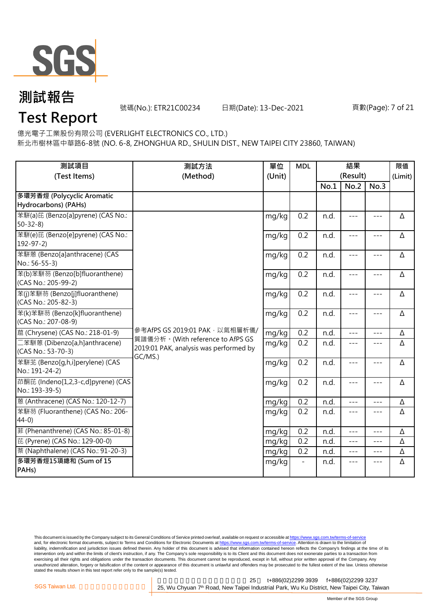

號碼(No.): ETR21C00234 日期(Date): 13-Dec-2021 頁數(Page): 7 of 21

### **Test Report**

億光電子工業股份有限公司 (EVERLIGHT ELECTRONICS CO., LTD.)

新北市樹林區中華路6-8號 (NO. 6-8, ZHONGHUA RD., SHULIN DIST., NEW TAIPEI CITY 23860, TAIWAN)

| 測試項目<br>(Test Items)                                  | 單位<br>測試方法<br>(Method)<br>(Unit)                                                      |       | <b>MDL</b> | 結果<br>(Result) |         |                     | 限值<br>(Limit) |
|-------------------------------------------------------|---------------------------------------------------------------------------------------|-------|------------|----------------|---------|---------------------|---------------|
|                                                       |                                                                                       |       |            | No.1           | No.2    | No.3                |               |
| 多環芳香烴 (Polycyclic Aromatic<br>Hydrocarbons) (PAHs)    |                                                                                       |       |            |                |         |                     |               |
| 苯駢(a)芘 (Benzo[a]pyrene) (CAS No.:<br>$50 - 32 - 8$    |                                                                                       | mg/kg | 0.2        | n.d.           | $---$   | $\qquad \qquad - -$ | Δ             |
| 苯駢(e)芘 (Benzo[e]pyrene) (CAS No.:<br>$192 - 97 - 2$   |                                                                                       | mg/kg | 0.2        | n.d.           | $- - -$ | $---$               | Δ             |
| 苯駢蒽 (Benzo[a]anthracene) (CAS<br>No.: 56-55-3)        |                                                                                       | mg/kg | 0.2        | n.d.           | $---$   | $- - -$             | Δ             |
| 苯(b)苯駢芴 (Benzo[b]fluoranthene)<br>(CAS No.: 205-99-2) |                                                                                       | mg/kg | 0.2        | n.d.           | $---$   | $---$               | Δ             |
| 苯(j)苯駢芴 (Benzo[j]fluoranthene)<br>(CAS No.: 205-82-3) |                                                                                       | mg/kg | 0.2        | n.d.           | $---$   | $- - -$             | Δ             |
| 苯(k)苯駢芴 (Benzo[k]fluoranthene)<br>(CAS No.: 207-08-9) |                                                                                       | mg/kg | 0.2        | n.d.           | $- - -$ | $\qquad \qquad - -$ | Δ             |
| 蔰 (Chrysene) (CAS No.: 218-01-9)                      | 參考AfPS GS 2019:01 PAK · 以氣相層析儀/                                                       | mg/kg | 0.2        | n.d.           | $---$   | $---$               | Δ             |
| 二苯駢蒽 (Dibenzo[a,h]anthracene)<br>(CAS No.: 53-70-3)   | 質譜儀分析。(With reference to AfPS GS<br>2019:01 PAK, analysis was performed by<br>GC/MS.) | mg/kg | 0.2        | n.d.           | $---$   | $---$               | Δ             |
| 苯駢苙 (Benzo[g,h,i]perylene) (CAS<br>No.: 191-24-2)     |                                                                                       | mg/kg | 0.2        | n.d.           | $---$   | $---$               | Δ             |
| 茚酮芘 (Indeno[1,2,3-c,d]pyrene) (CAS<br>No.: 193-39-5)  |                                                                                       | mg/kg | 0.2        | n.d.           | $---$   | $\qquad \qquad - -$ | Δ             |
| 蒽 (Anthracene) (CAS No.: 120-12-7)                    |                                                                                       | mg/kg | 0.2        | n.d.           | $- - -$ | $---$               | Δ             |
| 苯駢芴 (Fluoranthene) (CAS No.: 206-<br>$44-0)$          |                                                                                       | mg/kg | 0.2        | n.d.           | $---$   | $---$               | Δ             |
| 菲 (Phenanthrene) (CAS No.: 85-01-8)                   |                                                                                       | mg/kg | 0.2        | n.d.           | ---     | $- - -$             | Δ             |
| 芘 (Pyrene) (CAS No.: 129-00-0)                        |                                                                                       | mg/kg | 0.2        | n.d.           | $---$   | $- - -$             | Δ             |
| 萘 (Naphthalene) (CAS No.: 91-20-3)                    |                                                                                       | mg/kg | 0.2        | n.d.           | $---$   | $---$               | Δ             |
| 多環芳香烴15項總和 (Sum of 15<br>PAHs)                        |                                                                                       | mg/kg |            | n.d.           | $---$   | $---$               | Δ             |

This document is issued by the Company subject to its General Conditions of Service printed overleaf, available on request or accessible at <u>https://www.sgs.com.tw/terms-of-service</u><br>and, for electronic format documents, su liability, indemnification and jurisdiction issues defined therein. Any holder of this document is advised that information contained hereon reflects the Company's findings at the time of its intervention only and within the limits of client's instruction, if any. The Company's sole responsibility is to its Client and this document does not exonerate parties to a transaction from exercising all their rights and obligations under the transaction documents. This document cannot be reproduced, except in full, without prior written approval of the Company. Any<br>unauthorized alteration, forgery or falsif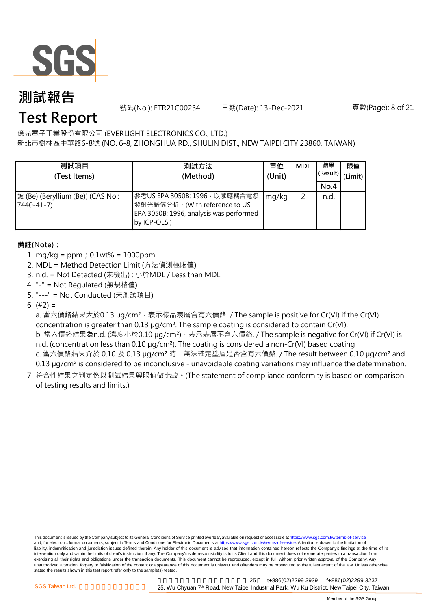

號碼(No.): ETR21C00234 日期(Date): 13-Dec-2021 頁數(Page): 8 of 21

### **Test Report**

億光電子工業股份有限公司 (EVERLIGHT ELECTRONICS CO., LTD.)

新北市樹林區中華路6-8號 (NO. 6-8, ZHONGHUA RD., SHULIN DIST., NEW TAIPEI CITY 23860, TAIWAN)

| 測試項目<br>(Test Items)                            | 測試方法<br>(Method)                                                                                                           | 單位<br>(Unit) | <b>MDL</b> | 結果<br>(Result)<br>No.4 | 限值<br>(Limit) |
|-------------------------------------------------|----------------------------------------------------------------------------------------------------------------------------|--------------|------------|------------------------|---------------|
| 鈹 (Be) (Beryllium (Be)) (CAS No.:<br>7440-41-7) | 參考US EPA 3050B: 1996 · 以感應耦合電漿<br>發射光譜儀分析。(With reference to US<br>EPA 3050B: 1996, analysis was performed<br>by ICP-OES.) | mg/kg        |            | n.d.                   |               |

#### **備註(Note):**

- 1. mg/kg = ppm;0.1wt% = 1000ppm
- 2. MDL = Method Detection Limit (方法偵測極限值)
- 3. n.d. = Not Detected (未檢出) ; 小於MDL / Less than MDL
- 4. "-" = Not Regulated (無規格值)
- 5. "---" = Not Conducted (未測試項目)
- 6.  $(#2) =$

a. 當六價鉻結果大於0.13 μg/cm<sup>2</sup>, 表示樣品表層含有六價鉻. / The sample is positive for Cr(VI) if the Cr(VI) concentration is greater than 0.13 µg/cm². The sample coating is considered to contain Cr(VI). b. 當六價鉻結果為n.d. (濃度小於0.10 µg/cm<sup>2</sup>), 表示表層不含六價鉻. / The sample is negative for Cr(VI) if Cr(VI) is n.d. (concentration less than 0.10 µg/cm<sup>2</sup>). The coating is considered a non-Cr(VI) based coating c. 當六價鉻結果介於 0.10 及 0.13 µg/cm<sup>2</sup> 時, 無法確定塗層是否含有六價鉻. / The result between 0.10 µg/cm<sup>2</sup> and 0.13 µg/cm² is considered to be inconclusive - unavoidable coating variations may influence the determination.

7. 符合性結果之判定係以測試結果與限值做比較。(The statement of compliance conformity is based on comparison of testing results and limits.)

This document is issued by the Company subject to its General Conditions of Service printed overleaf, available on request or accessible at https://www.sgs.com.tw/terms-of-service and, for electronic format documents, subject to Terms and Conditions for Electronic Documents at https://www.sgs.com.tw/terms-of-service. Attention is drawn to the limitation of liability, indemnification and jurisdiction issues defined therein. Any holder of this document is advised that information contained hereon reflects the Company's findings at the time of its intervention only and within the limits of client's instruction, if any. The Company's sole responsibility is to its Client and this document does not exonerate parties to a transaction from exercising all their rights and obligations under the transaction documents. This document cannot be reproduced, except in full, without prior written approval of the Company. Any<br>unauthorized alteration, forgery or falsif stated the results shown in this test report refer only to the sample(s) tested.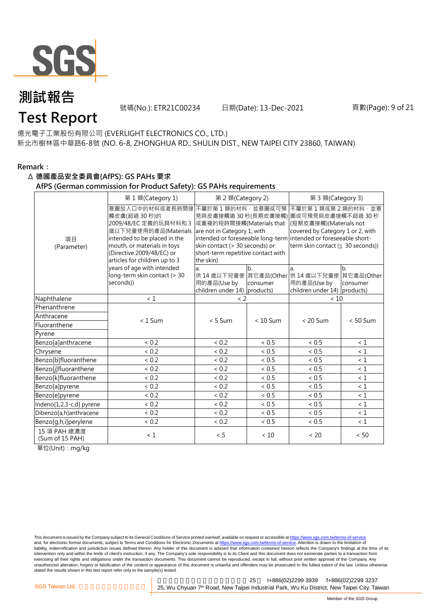

號碼(No.): ETR21C00234 日期(Date): 13-Dec-2021 頁數(Page): 9 of 21

### **Test Report**

億光電子工業股份有限公司 (EVERLIGHT ELECTRONICS CO., LTD.) 新北市樹林區中華路6-8號 (NO. 6-8, ZHONGHUA RD., SHULIN DIST., NEW TAIPEI CITY 23860, TAIWAN)

#### **Remark:**

#### Δ **德國產品安全委員會(AfPS): GS PAHs 要求**

#### **AfPS (German commission for Product Safety): GS PAHs requirements**

|                                 | 第1類(Category 1)                                                                                                                                                                                               | 第 2 類(Category 2)                                                                                                                                                |                | 第 3 類(Category 3)                                                                                                                                                                                                                  |                |  |
|---------------------------------|---------------------------------------------------------------------------------------------------------------------------------------------------------------------------------------------------------------|------------------------------------------------------------------------------------------------------------------------------------------------------------------|----------------|------------------------------------------------------------------------------------------------------------------------------------------------------------------------------------------------------------------------------------|----------------|--|
| 項目<br>(Parameter)               | 意圖放入口中的材料或者長時間接<br>觸皮膚(超過 30秒)的<br>2009/48/EC 定義的玩具材料和 3<br>歲以下兒童使用的產品(Materials<br>intended to be placed in the<br>mouth, or materials in toys<br>(Directive 2009/48/EC) or<br>articles for children up to 3 | 不屬於第1類的材料,並意圖或可預<br>或重複的短時間接觸(Materials that<br>are not in Category 1, with<br>skin contact (> 30 seconds) or<br>short-term repetitive contact with<br>the skin) |                | 不屬於第1類或第2類的材料,並意<br>見與皮膚接觸逾 30 秒(長期皮膚接觸) 圖或可預見與皮膚接觸不超過 30 秒<br>(短期皮膚接觸)(Materials not<br>covered by Category 1 or 2, with<br>intended or foreseeable long-term intended or foreseeable short-<br>term skin contact (≤ 30 seconds)) |                |  |
|                                 | years of age with intended<br>long-term skin contact (> 30<br>seconds))                                                                                                                                       | a.<br>用的產品(Use by<br>children under $14$ ) products)                                                                                                             | b.<br>consumer | a.<br>供 14 歳以下兒童使 其它產品(Other 供 14 歳以下兒童使 其它產品(Other<br>用的產品(Use by<br>children under 14) products)                                                                                                                                 | b.<br>consumer |  |
| Naphthalene                     | < 1                                                                                                                                                                                                           | $\langle$ 2                                                                                                                                                      |                | < 10                                                                                                                                                                                                                               |                |  |
| Phenanthrene                    |                                                                                                                                                                                                               |                                                                                                                                                                  |                |                                                                                                                                                                                                                                    |                |  |
| Anthracene                      | $< 1$ Sum                                                                                                                                                                                                     | $< 5$ Sum                                                                                                                                                        | $< 10$ Sum     | $< 20$ Sum                                                                                                                                                                                                                         | $< 50$ Sum     |  |
| Fluoranthene                    |                                                                                                                                                                                                               |                                                                                                                                                                  |                |                                                                                                                                                                                                                                    |                |  |
| Pyrene                          |                                                                                                                                                                                                               |                                                                                                                                                                  |                |                                                                                                                                                                                                                                    |                |  |
| Benzo[a]anthracene              | < 0.2                                                                                                                                                                                                         | < 0.2                                                                                                                                                            | < 0.5          | < 0.5                                                                                                                                                                                                                              | < 1            |  |
| Chrysene                        | < 0.2                                                                                                                                                                                                         | < 0.2                                                                                                                                                            | < 0.5          | < 0.5                                                                                                                                                                                                                              | $\leq 1$       |  |
| Benzo[b]fluoranthene            | < 0.2                                                                                                                                                                                                         | < 0.2                                                                                                                                                            | ~< 0.5         | < 0.5                                                                                                                                                                                                                              | $\leq 1$       |  |
| Benzo[j]fluoranthene            | < 0.2                                                                                                                                                                                                         | < 0.2                                                                                                                                                            | < 0.5          | < 0.5                                                                                                                                                                                                                              | $\leq 1$       |  |
| Benzo[k]fluoranthene            | < 0.2                                                                                                                                                                                                         | < 0.2                                                                                                                                                            | ~< 0.5         | ~< 0.5                                                                                                                                                                                                                             | $\leq 1$       |  |
| Benzo[a]pyrene                  | < 0.2                                                                                                                                                                                                         | < 0.2                                                                                                                                                            | < 0.5          | < 0.5                                                                                                                                                                                                                              | < 1            |  |
| Benzo[e]pyrene                  | < 0.2                                                                                                                                                                                                         | < 0.2                                                                                                                                                            | ~< 0.5         | < 0.5                                                                                                                                                                                                                              | $\leq 1$       |  |
| Indeno[1,2,3-c,d] pyrene        | < 0.2                                                                                                                                                                                                         | < 0.2                                                                                                                                                            | < 0.5          | < 0.5                                                                                                                                                                                                                              | $\leq 1$       |  |
| Dibenzo[a,h]anthracene          | < 0.2                                                                                                                                                                                                         | < 0.2                                                                                                                                                            | < 0.5          | < 0.5                                                                                                                                                                                                                              | $\leq 1$       |  |
| Benzo[g,h,i]perylene            | < 0.2                                                                                                                                                                                                         | < 0.2                                                                                                                                                            | ~< 0.5         | ~< 0.5                                                                                                                                                                                                                             | $\leq 1$       |  |
| 15 項 PAH 總濃度<br>(Sum of 15 PAH) | $\leq 1$                                                                                                                                                                                                      | < 5                                                                                                                                                              | < 10           | < 20                                                                                                                                                                                                                               | < 50           |  |

單位(Unit):mg/kg

This document is issued by the Company subject to its General Conditions of Service printed overleaf, available on request or accessible at https://www.sgs.com.tw/terms-of-service and, for electronic format documents, subject to Terms and Conditions for Electronic Documents at https://www.sgs.com.tw/terms-of-service. Attention is drawn to the limitation of liability, indemnification and jurisdiction issues defined therein. Any holder of this document is advised that information contained hereon reflects the Company's findings at the time of its intervention only and within the limits of client's instruction, if any. The Company's sole responsibility is to its Client and this document does not exonerate parties to a transaction from exercising all their rights and obligations under the transaction documents. This document cannot be reproduced, except in full, without prior written approval of the Company. Any<br>unauthorized alteration, forgery or falsif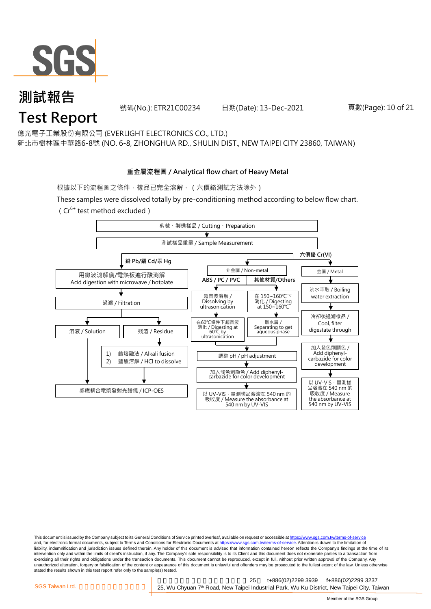

號碼(No.): ETR21C00234 日期(Date): 13-Dec-2021 頁數(Page): 10 of 21

億光電子工業股份有限公司 (EVERLIGHT ELECTRONICS CO., LTD.)

新北市樹林區中華路6-8號 (NO. 6-8, ZHONGHUA RD., SHULIN DIST., NEW TAIPEI CITY 23860, TAIWAN)

#### **重金屬流程圖 / Analytical flow chart of Heavy Metal**

根據以下的流程圖之條件,樣品已完全溶解。 (六價鉻測試方法除外)

These samples were dissolved totally by pre-conditioning method according to below flow chart.

( $Cr^{6+}$  test method excluded)



This document is issued by the Company subject to its General Conditions of Service printed overleaf, available on request or accessible at https://www.sgs.com.tw/terms-of-service and, for electronic format documents, subject to Terms and Conditions for Electronic Documents at https://www.sgs.com.tw/terms-of-service. Attention is drawn to the limitation of liability, indemnification and jurisdiction issues defined therein. Any holder of this document is advised that information contained hereon reflects the Company's findings at the time of its intervention only and within the limits of client's instruction, if any. The Company's sole responsibility is to its Client and this document does not exonerate parties to a transaction from exercising all their rights and obligations under the transaction documents. This document cannot be reproduced, except in full, without prior written approval of the Company. Any<br>unauthorized alteration, forgery or falsif stated the results shown in this test report refer only to the sample(s) tested.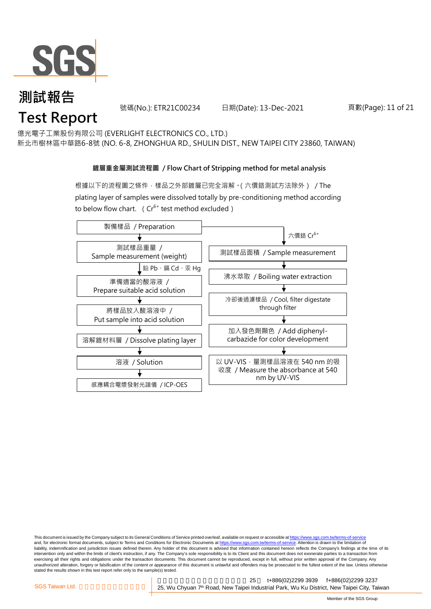

號碼(No.): ETR21C00234 日期(Date): 13-Dec-2021 頁數(Page): 11 of 21

億光電子工業股份有限公司 (EVERLIGHT ELECTRONICS CO., LTD.)

新北市樹林區中華路6-8號 (NO. 6-8, ZHONGHUA RD., SHULIN DIST., NEW TAIPEI CITY 23860, TAIWAN)

#### **鍍層重金屬測試流程圖 / Flow Chart of Stripping method for metal analysis**

根據以下的流程圖之條件,樣品之外部鍍層已完全溶解。(六價鉻測試方法除外) / The plating layer of samples were dissolved totally by pre-conditioning method according to below flow chart. ( $Cr^{6+}$  test method excluded)



This document is issued by the Company subject to its General Conditions of Service printed overleaf, available on request or accessible at https://www.sgs.com.tw/terms-of-service and, for electronic format documents, subject to Terms and Conditions for Electronic Documents at https://www.sgs.com.tw/terms-of-service. Attention is drawn to the limitation of liability, indemnification and jurisdiction issues defined therein. Any holder of this document is advised that information contained hereon reflects the Company's findings at the time of its intervention only and within the limits of client's instruction, if any. The Company's sole responsibility is to its Client and this document does not exonerate parties to a transaction from exercising all their rights and obligations under the transaction documents. This document cannot be reproduced, except in full, without prior written approval of the Company. Any<br>unauthorized alteration, forgery or falsif stated the results shown in this test report refer only to the sample(s) tested.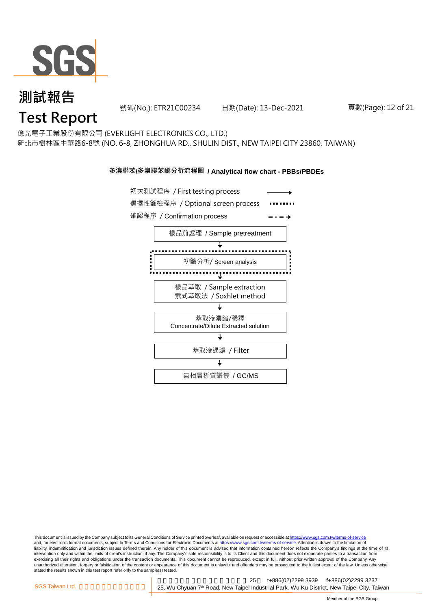

號碼(No.): ETR21C00234 日期(Date): 13-Dec-2021 頁數(Page): 12 of 21

## **Test Report**

億光電子工業股份有限公司 (EVERLIGHT ELECTRONICS CO., LTD.) 新北市樹林區中華路6-8號 (NO. 6-8, ZHONGHUA RD., SHULIN DIST., NEW TAIPEI CITY 23860, TAIWAN)

#### **多溴聯苯/多溴聯苯醚分析流程圖 / Analytical flow chart - PBBs/PBDEs**



This document is issued by the Company subject to its General Conditions of Service printed overleaf, available on request or accessible at https://www.sgs.com.tw/terms-of-service and, for electronic format documents, subject to Terms and Conditions for Electronic Documents at https://www.sgs.com.tw/terms-of-service. Attention is drawn to the limitation of liability, indemnification and jurisdiction issues defined therein. Any holder of this document is advised that information contained hereon reflects the Company's findings at the time of its intervention only and within the limits of client's instruction, if any. The Company's sole responsibility is to its Client and this document does not exonerate parties to a transaction from exercising all their rights and obligations under the transaction documents. This document cannot be reproduced, except in full, without prior written approval of the Company. Any<br>unauthorized alteration, forgery or falsif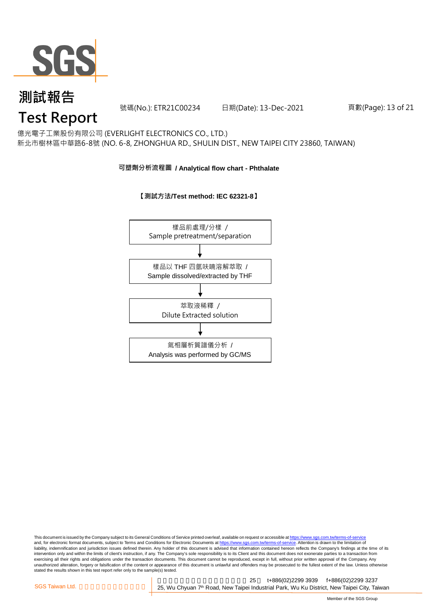

號碼(No.): ETR21C00234 日期(Date): 13-Dec-2021 頁數(Page): 13 of 21

## **Test Report**

億光電子工業股份有限公司 (EVERLIGHT ELECTRONICS CO., LTD.) 新北市樹林區中華路6-8號 (NO. 6-8, ZHONGHUA RD., SHULIN DIST., NEW TAIPEI CITY 23860, TAIWAN)

#### **可塑劑分析流程圖 / Analytical flow chart - Phthalate**

#### **【測試方法/Test method: IEC 62321-8】**



This document is issued by the Company subject to its General Conditions of Service printed overleaf, available on request or accessible at <u>https://www.sgs.com.tw/terms-of-service</u><br>and, for electronic format documents, su liability, indemnification and jurisdiction issues defined therein. Any holder of this document is advised that information contained hereon reflects the Company's findings at the time of its intervention only and within the limits of client's instruction, if any. The Company's sole responsibility is to its Client and this document does not exonerate parties to a transaction from exercising all their rights and obligations under the transaction documents. This document cannot be reproduced, except in full, without prior written approval of the Company. Any<br>unauthorized alteration, forgery or falsif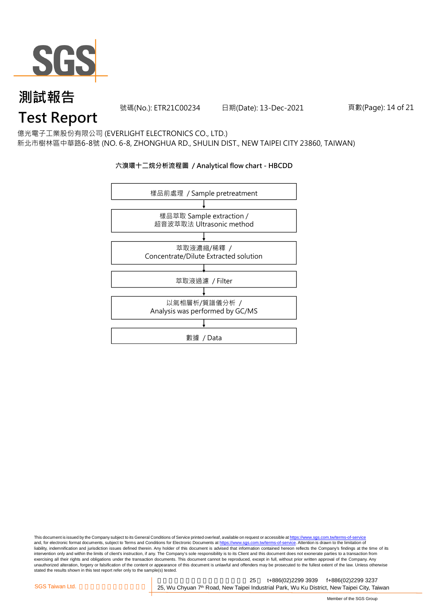

號碼(No.): ETR21C00234 日期(Date): 13-Dec-2021 頁數(Page): 14 of 21

## **Test Report**

億光電子工業股份有限公司 (EVERLIGHT ELECTRONICS CO., LTD.) 新北市樹林區中華路6-8號 (NO. 6-8, ZHONGHUA RD., SHULIN DIST., NEW TAIPEI CITY 23860, TAIWAN)

#### **六溴環十二烷分析流程圖 / Analytical flow chart - HBCDD**



This document is issued by the Company subject to its General Conditions of Service printed overleaf, available on request or accessible at <u>https://www.sgs.com.tw/terms-of-service</u><br>and, for electronic format documents, su liability, indemnification and jurisdiction issues defined therein. Any holder of this document is advised that information contained hereon reflects the Company's findings at the time of its intervention only and within the limits of client's instruction, if any. The Company's sole responsibility is to its Client and this document does not exonerate parties to a transaction from exercising all their rights and obligations under the transaction documents. This document cannot be reproduced, except in full, without prior written approval of the Company. Any<br>unauthorized alteration, forgery or falsif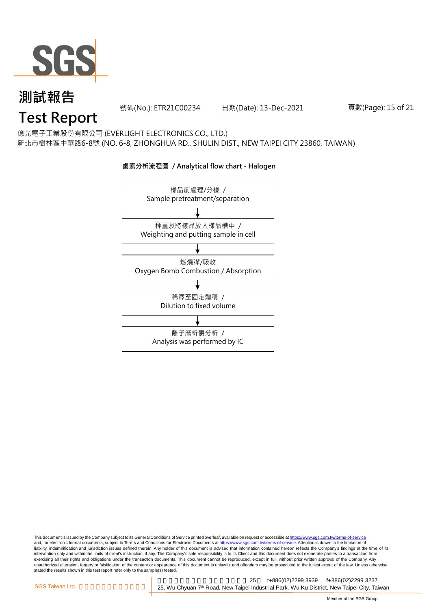

號碼(No.): ETR21C00234 日期(Date): 13-Dec-2021 頁數(Page): 15 of 21

# **Test Report**

億光電子工業股份有限公司 (EVERLIGHT ELECTRONICS CO., LTD.) 新北市樹林區中華路6-8號 (NO. 6-8, ZHONGHUA RD., SHULIN DIST., NEW TAIPEI CITY 23860, TAIWAN)

### 樣品前處理/分樣 / Sample pretreatment/separation 秤重及將樣品放入樣品槽中 / Weighting and putting sample in cell 燃燒彈/吸收 Oxygen Bomb Combustion / Absorption 離子層析儀分析 / Analysis was performed by IC 稀釋至固定體積 / Dilution to fixed volume

**鹵素分析流程圖 / Analytical flow chart - Halogen**

This document is issued by the Company subject to its General Conditions of Service printed overleaf, available on request or accessible at <u>https://www.sgs.com.tw/terms-of-service</u><br>and, for electronic format documents, su liability, indemnification and jurisdiction issues defined therein. Any holder of this document is advised that information contained hereon reflects the Company's findings at the time of its intervention only and within the limits of client's instruction, if any. The Company's sole responsibility is to its Client and this document does not exonerate parties to a transaction from exercising all their rights and obligations under the transaction documents. This document cannot be reproduced, except in full, without prior written approval of the Company. Any<br>unauthorized alteration, forgery or falsif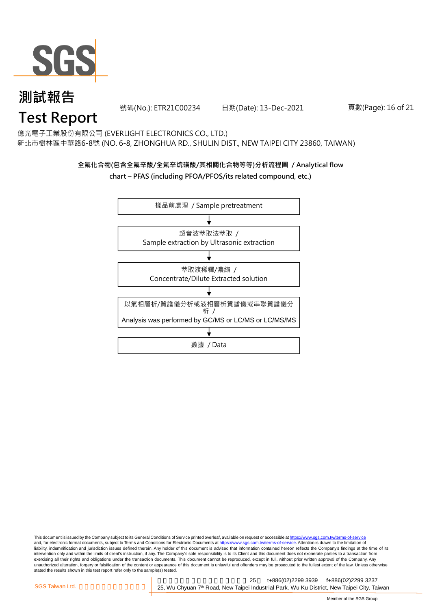

號碼(No.): ETR21C00234 日期(Date): 13-Dec-2021 頁數(Page): 16 of 21

## **Test Report**

億光電子工業股份有限公司 (EVERLIGHT ELECTRONICS CO., LTD.) 新北市樹林區中華路6-8號 (NO. 6-8, ZHONGHUA RD., SHULIN DIST., NEW TAIPEI CITY 23860, TAIWAN)

#### **全氟化合物(包含全氟辛酸/全氟辛烷磺酸/其相關化合物等等)分析流程圖 / Analytical flow**

#### **chart – PFAS (including PFOA/PFOS/its related compound, etc.)**



This document is issued by the Company subject to its General Conditions of Service printed overleaf, available on request or accessible at https://www.sgs.com.tw/terms-of-service and, for electronic format documents, subject to Terms and Conditions for Electronic Documents at https://www.sgs.com.tw/terms-of-service. Attention is drawn to the limitation of liability, indemnification and jurisdiction issues defined therein. Any holder of this document is advised that information contained hereon reflects the Company's findings at the time of its intervention only and within the limits of client's instruction, if any. The Company's sole responsibility is to its Client and this document does not exonerate parties to a transaction from exercising all their rights and obligations under the transaction documents. This document cannot be reproduced, except in full, without prior written approval of the Company. Any<br>unauthorized alteration, forgery or falsif stated the results shown in this test report refer only to the sample(s) tested.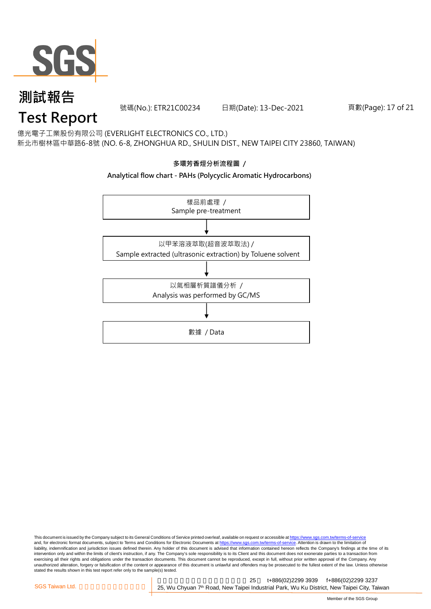

號碼(No.): ETR21C00234 日期(Date): 13-Dec-2021 頁數(Page): 17 of 21

## **Test Report**

億光電子工業股份有限公司 (EVERLIGHT ELECTRONICS CO., LTD.) 新北市樹林區中華路6-8號 (NO. 6-8, ZHONGHUA RD., SHULIN DIST., NEW TAIPEI CITY 23860, TAIWAN)

#### **多環芳香烴分析流程圖 /**

#### **Analytical flow chart - PAHs (Polycyclic Aromatic Hydrocarbons)**



This document is issued by the Company subject to its General Conditions of Service printed overleaf, available on request or accessible at <u>https://www.sgs.com.tw/terms-of-service</u><br>and, for electronic format documents, su liability, indemnification and jurisdiction issues defined therein. Any holder of this document is advised that information contained hereon reflects the Company's findings at the time of its intervention only and within the limits of client's instruction, if any. The Company's sole responsibility is to its Client and this document does not exonerate parties to a transaction from exercising all their rights and obligations under the transaction documents. This document cannot be reproduced, except in full, without prior written approval of the Company. Any<br>unauthorized alteration, forgery or falsif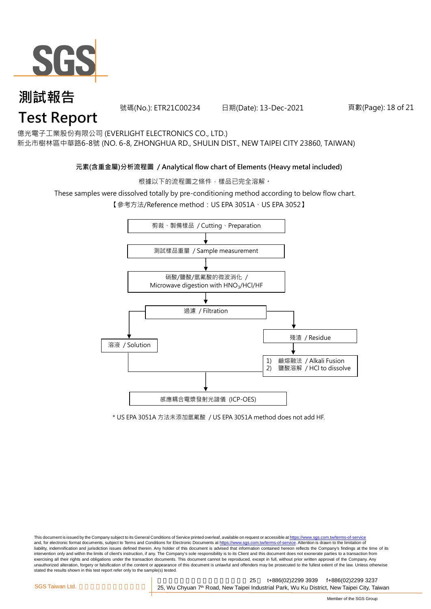

號碼(No.): ETR21C00234 日期(Date): 13-Dec-2021 頁數(Page): 18 of 21

億光電子工業股份有限公司 (EVERLIGHT ELECTRONICS CO., LTD.)

新北市樹林區中華路6-8號 (NO. 6-8, ZHONGHUA RD., SHULIN DIST., NEW TAIPEI CITY 23860, TAIWAN)

#### **元素(含重金屬)分析流程圖 / Analytical flow chart of Elements (Heavy metal included)**

根據以下的流程圖之條件,樣品已完全溶解。

These samples were dissolved totally by pre-conditioning method according to below flow chart.

【參考方法/Reference method: US EPA 3051A、US EPA 3052】



\* US EPA 3051A 方法未添加氫氟酸 / US EPA 3051A method does not add HF.

This document is issued by the Company subject to its General Conditions of Service printed overleaf, available on request or accessible at https://www.sgs.com.tw/terms-of-service and, for electronic format documents, subject to Terms and Conditions for Electronic Documents at https://www.sgs.com.tw/terms-of-service. Attention is drawn to the limitation of liability, indemnification and jurisdiction issues defined therein. Any holder of this document is advised that information contained hereon reflects the Company's findings at the time of its intervention only and within the limits of client's instruction, if any. The Company's sole responsibility is to its Client and this document does not exonerate parties to a transaction from exercising all their rights and obligations under the transaction documents. This document cannot be reproduced, except in full, without prior written approval of the Company. Any<br>unauthorized alteration, forgery or falsif stated the results shown in this test report refer only to the sample(s) tested.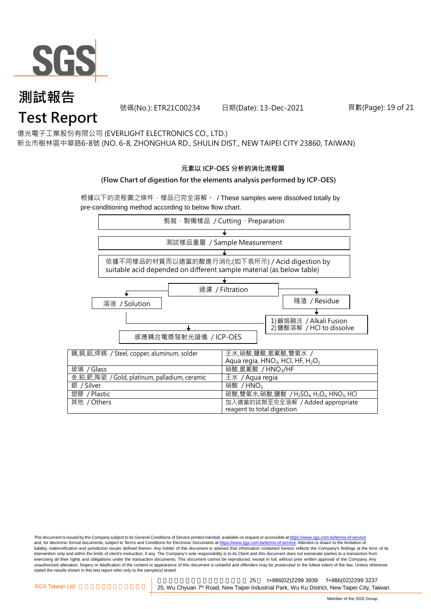

號碼(No.): ETR21C00234 日期(Date): 13-Dec-2021 頁數(Page): 19 of 21

億光電子工業股份有限公司 (EVERLIGHT ELECTRONICS CO., LTD.)

新北市樹林區中華路6-8號 (NO. 6-8, ZHONGHUA RD., SHULIN DIST., NEW TAIPEI CITY 23860, TAIWAN)

#### **元素以 ICP-OES 分析的消化流程圖**

#### **(Flow Chart of digestion for the elements analysis performed by ICP-OES)**

根據以下的流程圖之條件,樣品已完全溶解。 / These samples were dissolved totally by pre-conditioning method according to below flow chart.



This document is issued by the Company subject to its General Conditions of Service printed overleaf, available on request or accessible at https://www.sgs.com.tw/terms-of-service and, for electronic format documents, subject to Terms and Conditions for Electronic Documents at https://www.sgs.com.tw/terms-of-service. Attention is drawn to the limitation of liability, indemnification and jurisdiction issues defined therein. Any holder of this document is advised that information contained hereon reflects the Company's findings at the time of its intervention only and within the limits of client's instruction, if any. The Company's sole responsibility is to its Client and this document does not exonerate parties to a transaction from exercising all their rights and obligations under the transaction documents. This document cannot be reproduced, except in full, without prior written approval of the Company. Any<br>unauthorized alteration, forgery or falsif stated the results shown in this test report refer only to the sample(s) tested.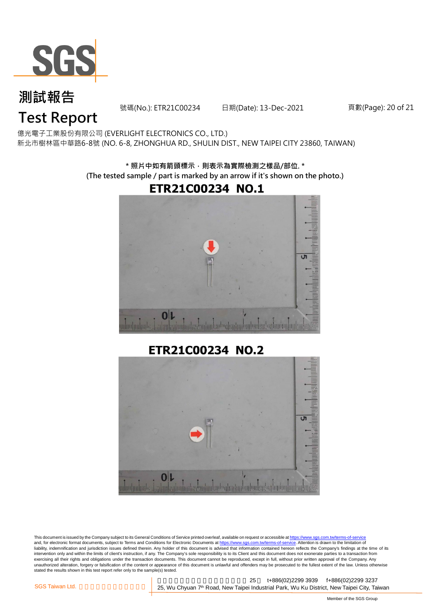

號碼(No.): ETR21C00234 日期(Date): 13-Dec-2021 頁數(Page): 20 of 21

# **Test Report**

億光電子工業股份有限公司 (EVERLIGHT ELECTRONICS CO., LTD.) 新北市樹林區中華路6-8號 (NO. 6-8, ZHONGHUA RD., SHULIN DIST., NEW TAIPEI CITY 23860, TAIWAN)

> **\* 照片中如有箭頭標示,則表示為實際檢測之樣品/部位. \* (The tested sample / part is marked by an arrow if it's shown on the photo.)**



**ETR21C00234 NO.2** 



This document is issued by the Company subject to its General Conditions of Service printed overleaf, available on request or accessible at <u>https://www.sgs.com.tw/terms-of-service</u><br>and, for electronic format documents, su liability, indemnification and jurisdiction issues defined therein. Any holder of this document is advised that information contained hereon reflects the Company's findings at the time of its liability, indemnification and intervention only and within the limits of client's instruction, if any. The Company's sole responsibility is to its Client and this document does not exonerate parties to a transaction from exercising all their rights and obligations under the transaction documents. This document cannot be reproduced, except in full, without prior written approval of the Company. Any<br>unauthorized alteration, forgery or falsif